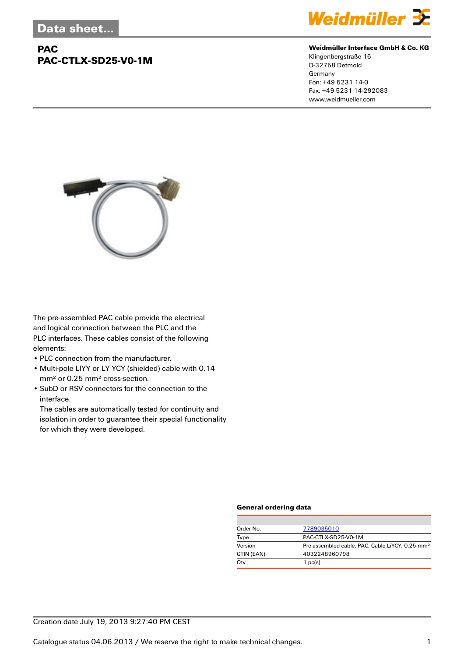## **PAC PAC-CTLX-SD25-V0-1M**



#### **Weidmüller Interface GmbH & Co. KG**

Klingenbergstraße 16 D-32758 Detmold Germany Fon: +49 5231 14-0 Fax: +49 5231 14-292083 www.weidmueller.com



The pre-assembled PAC cable provide the electrical and logical connection between the PLC and the PLC interfaces. These cables consist of the following elements:

- PLC connection from the manufacturer.
- Multi-pole LIYY or LY YCY (shielded) cable with 0.14 mm² or 0.25 mm² cross-section.
- SubD or RSV connectors for the connection to the interface.

The cables are automatically tested for continuity and isolation in order to guarantee their special functionality for which they were developed.

#### **General ordering data**

| Order No.  | 7789035010                                                  |  |
|------------|-------------------------------------------------------------|--|
| Type       | PAC-CTLX-SD25-V0-1M                                         |  |
| Version    | Pre-assembled cable, PAC, Cable LiYCY, 0.25 mm <sup>2</sup> |  |
| GTIN (EAN) | 4032248960798                                               |  |
| Qty.       | $1$ pc(s).                                                  |  |